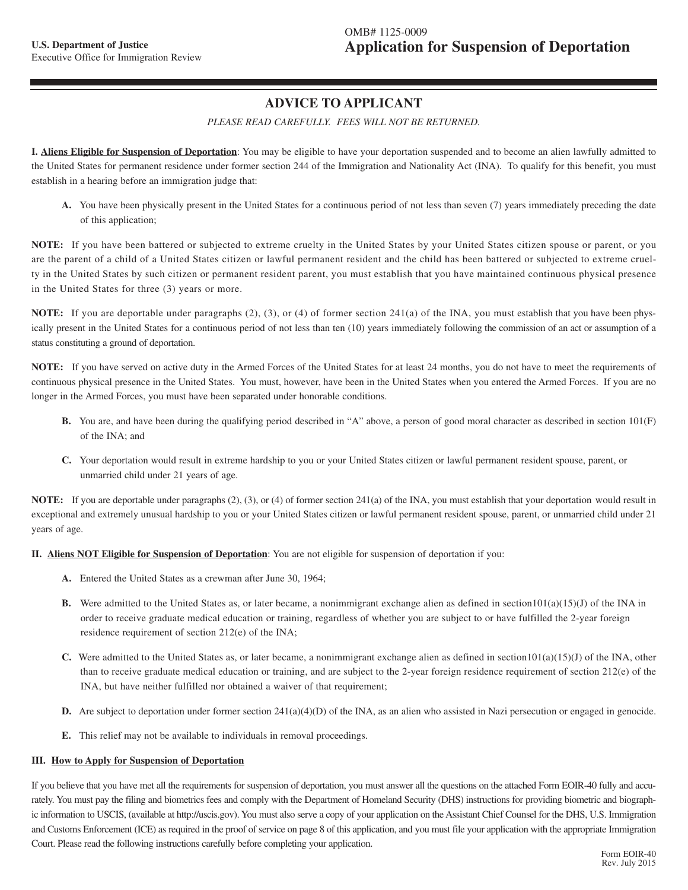## **ADVICE TO APPLICANT**

### *PLEASE READ CAREFULLY. FEES WILL NOT BE RETURNED.*

**I. Aliens Eligible for Suspension of Deportation**: You may be eligible to have your deportation suspended and to become an alien lawfully admitted to the United States for permanent residence under former section 244 of the Immigration and Nationality Act (INA). To qualify for this benefit, you must establish in a hearing before an immigration judge that:

**A.** You have been physically present in the United States for a continuous period of not less than seven (7) years immediately preceding the date of this application;

**NOTE:** If you have been battered or subjected to extreme cruelty in the United States by your United States citizen spouse or parent, or you are the parent of a child of a United States citizen or lawful permanent resident and the child has been battered or subjected to extreme cruelty in the United States by such citizen or permanent resident parent, you must establish that you have maintained continuous physical presence in the United States for three (3) years or more.

**NOTE:** If you are deportable under paragraphs (2), (3), or (4) of former section 241(a) of the INA, you must establish that you have been physically present in the United States for a continuous period of not less than ten (10) years immediately following the commission of an act or assumption of a status constituting a ground of deportation.

**NOTE:** If you have served on active duty in the Armed Forces of the United States for at least 24 months, you do not have to meet the requirements of continuous physical presence in the United States. You must, however, have been in the United States when you entered the Armed Forces. If you are no longer in the Armed Forces, you must have been separated under honorable conditions.

- **B.** You are, and have been during the qualifying period described in "A" above, a person of good moral character as described in section 101(F) of the INA; and
- **C.** Your deportation would result in extreme hardship to you or your United States citizen or lawful permanent resident spouse, parent, or unmarried child under 21 years of age.

**NOTE:** If you are deportable under paragraphs (2), (3), or (4) of former section 241(a) of the INA, you must establish that your deportation would result in exceptional and extremely unusual hardship to you or your United States citizen or lawful permanent resident spouse, parent, or unmarried child under 21 years of age.

**II. Aliens NOT Eligible for Suspension of Deportation**: You are not eligible for suspension of deportation if you:

- **A.** Entered the United States as a crewman after June 30, 1964;
- **B.** Were admitted to the United States as, or later became, a nonimmigrant exchange alien as defined in section101(a)(15)(J) of the INA in order to receive graduate medical education or training, regardless of whether you are subject to or have fulfilled the 2-year foreign residence requirement of section 212(e) of the INA;
- **C.** Were admitted to the United States as, or later became, a nonimmigrant exchange alien as defined in section101(a)(15)(J) of the INA, other than to receive graduate medical education or training, and are subject to the 2-year foreign residence requirement of section 212(e) of the INA, but have neither fulfilled nor obtained a waiver of that requirement;
- **D.** Are subject to deportation under former section 241(a)(4)(D) of the INA, as an alien who assisted in Nazi persecution or engaged in genocide.
- **E.** This relief may not be available to individuals in removal proceedings.

#### **III. How to Apply for Suspension of Deportation**

If you believe that you have met all the requirements for suspension of deportation, you must answer all the questions on the attached Form EOIR-40 fully and accurately. You must pay the filing and biometrics fees and comply with the Department of Homeland Security (DHS) instructions for providing biometric and biographic information to USCIS, (available at http://uscis.gov). You must also serve a copy of your application on the Assistant Chief Counsel for the DHS, U.S. Immigration and Customs Enforcement (ICE) as required in the proof of service on page 8 of this application, and you must file your application with the appropriate Immigration Court. Please read the following instructions carefully before completing your application.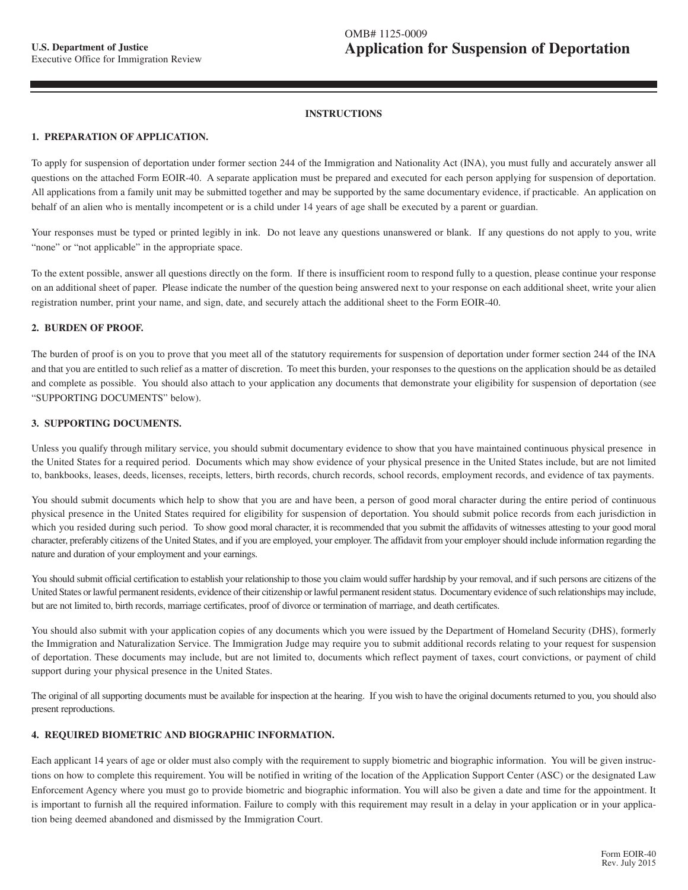### **INSTRUCTIONS**

#### **1. PREPARATION OF APPLICATION.**

To apply for suspension of deportation under former section 244 of the Immigration and Nationality Act (INA), you must fully and accurately answer all questions on the attached Form EOIR-40. A separate application must be prepared and executed for each person applying for suspension of deportation. All applications from a family unit may be submitted together and may be supported by the same documentary evidence, if practicable. An application on behalf of an alien who is mentally incompetent or is a child under 14 years of age shall be executed by a parent or guardian.

Your responses must be typed or printed legibly in ink. Do not leave any questions unanswered or blank. If any questions do not apply to you, write "none" or "not applicable" in the appropriate space.

To the extent possible, answer all questions directly on the form. If there is insufficient room to respond fully to a question, please continue your response on an additional sheet of paper. Please indicate the number of the question being answered next to your response on each additional sheet, write your alien registration number, print your name, and sign, date, and securely attach the additional sheet to the Form EOIR-40.

### **2. BURDEN OF PROOF.**

The burden of proof is on you to prove that you meet all of the statutory requirements for suspension of deportation under former section 244 of the INA and that you are entitled to such relief as a matter of discretion. To meet this burden, your responses to the questions on the application should be as detailed and complete as possible. You should also attach to your application any documents that demonstrate your eligibility for suspension of deportation (see "SUPPORTING DOCUMENTS" below).

#### **3. SUPPORTING DOCUMENTS.**

Unless you qualify through military service, you should submit documentary evidence to show that you have maintained continuous physical presence in the United States for a required period. Documents which may show evidence of your physical presence in the United States include, but are not limited to, bankbooks, leases, deeds, licenses, receipts, letters, birth records, church records, school records, employment records, and evidence of tax payments.

You should submit documents which help to show that you are and have been, a person of good moral character during the entire period of continuous physical presence in the United States required for eligibility for suspension of deportation. You should submit police records from each jurisdiction in which you resided during such period. To show good moral character, it is recommended that you submit the affidavits of witnesses attesting to your good moral character, preferably citizens of the United States, and if you are employed, your employer. The affidavit from your employer should include information regarding the nature and duration of your employment and your earnings.

You should submit official certification to establish your relationship to those you claim would suffer hardship by your removal, and if such persons are citizens of the United States or lawful permanent residents, evidence of their citizenship or lawful permanent resident status. Documentary evidence of such relationships may include, but are not limited to, birth records, marriage certificates, proof of divorce or termination of marriage, and death certificates.

You should also submit with your application copies of any documents which you were issued by the Department of Homeland Security (DHS), formerly the Immigration and Naturalization Service. The Immigration Judge may require you to submit additional records relating to your request for suspension of deportation. These documents may include, but are not limited to, documents which reflect payment of taxes, court convictions, or payment of child support during your physical presence in the United States.

The original of all supporting documents must be available for inspection at the hearing. If you wish to have the original documents returned to you, you should also present reproductions.

#### **4. REQUIRED BIOMETRIC AND BIOGRAPHIC INFORMATION.**

Each applicant 14 years of age or older must also comply with the requirement to supply biometric and biographic information. You will be given instructions on how to complete this requirement. You will be notified in writing of the location of the Application Support Center (ASC) or the designated Law Enforcement Agency where you must go to provide biometric and biographic information. You will also be given a date and time for the appointment. It is important to furnish all the required information. Failure to comply with this requirement may result in a delay in your application or in your application being deemed abandoned and dismissed by the Immigration Court.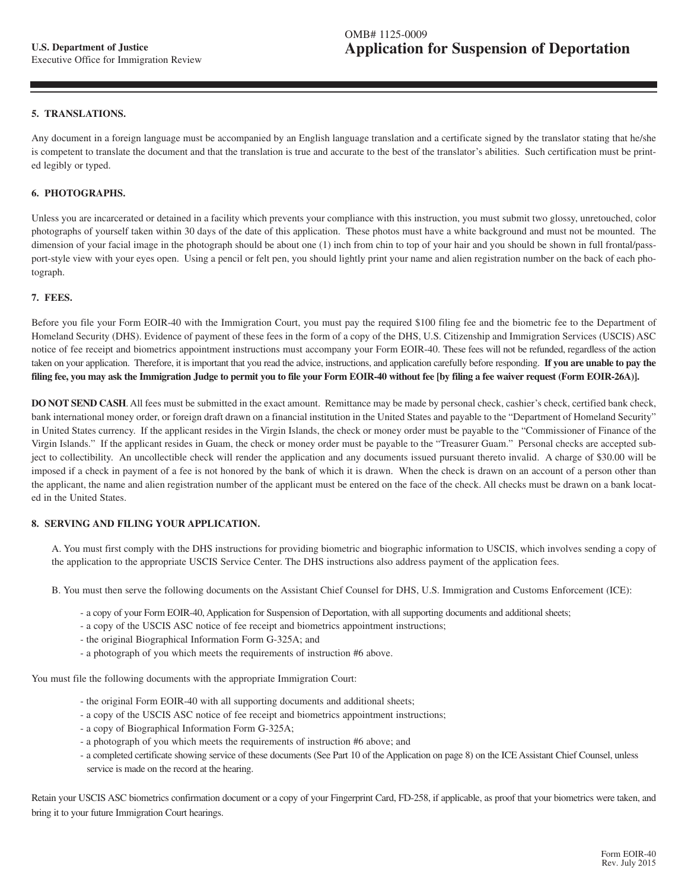#### **5. TRANSLATIONS.**

Any document in a foreign language must be accompanied by an English language translation and a certificate signed by the translator stating that he/she is competent to translate the document and that the translation is true and accurate to the best of the translator's abilities. Such certification must be printed legibly or typed.

#### **6. PHOTOGRAPHS.**

Unless you are incarcerated or detained in a facility which prevents your compliance with this instruction, you must submit two glossy, unretouched, color photographs of yourself taken within 30 days of the date of this application. These photos must have a white background and must not be mounted. The dimension of your facial image in the photograph should be about one (1) inch from chin to top of your hair and you should be shown in full frontal/passport-style view with your eyes open. Using a pencil or felt pen, you should lightly print your name and alien registration number on the back of each photograph.

#### **7. FEES.**

Before you file your Form EOIR-40 with the Immigration Court, you must pay the required \$100 filing fee and the biometric fee to the Department of Homeland Security (DHS). Evidence of payment of these fees in the form of a copy of the DHS, U.S. Citizenship and Immigration Services (USCIS) ASC notice of fee receipt and biometrics appointment instructions must accompany your Form EOIR-40. These fees will not be refunded, regardless of the action taken on your application. Therefore, it is important that you read the advice, instructions, and application carefully before responding. **If you are unable to pay the filing fee, you may ask the Immigration Judge to permit you to file your Form EOIR-40 without fee [by filing a fee waiver request (Form EOIR-26A)].**

**DO NOT SEND CASH**.All fees must be submitted in the exact amount. Remittance may be made by personal check, cashier's check, certified bank check, bank international money order, or foreign draft drawn on a financial institution in the United States and payable to the "Department of Homeland Security" in United States currency. If the applicant resides in the Virgin Islands, the check or money order must be payable to the "Commissioner of Finance of the Virgin Islands." If the applicant resides in Guam, the check or money order must be payable to the "Treasurer Guam." Personal checks are accepted subject to collectibility. An uncollectible check will render the application and any documents issued pursuant thereto invalid. A charge of \$30.00 will be imposed if a check in payment of a fee is not honored by the bank of which it is drawn. When the check is drawn on an account of a person other than the applicant, the name and alien registration number of the applicant must be entered on the face of the check. All checks must be drawn on a bank located in the United States.

#### **8. SERVING AND FILING YOUR APPLICATION.**

A. You must first comply with the DHS instructions for providing biometric and biographic information to USCIS, which involves sending a copy of the application to the appropriate USCIS Service Center. The DHS instructions also address payment of the application fees.

B. You must then serve the following documents on the Assistant Chief Counsel for DHS, U.S. Immigration and Customs Enforcement (ICE):

- a copy of your Form EOIR-40, Application for Suspension of Deportation, with all supporting documents and additional sheets;
- a copy of the USCIS ASC notice of fee receipt and biometrics appointment instructions;
- the original Biographical Information Form G-325A; and
- a photograph of you which meets the requirements of instruction #6 above.

You must file the following documents with the appropriate Immigration Court:

- the original Form EOIR-40 with all supporting documents and additional sheets;
- a copy of the USCIS ASC notice of fee receipt and biometrics appointment instructions;
- a copy of Biographical Information Form G-325A;
- a photograph of you which meets the requirements of instruction #6 above; and
- a completed certificate showing service of these documents (See Part 10 of the Application on page 8) on the ICE Assistant Chief Counsel, unless service is made on the record at the hearing.

Retain your USCIS ASC biometrics confirmation document or a copy of your Fingerprint Card, FD-258, if applicable, as proof that your biometrics were taken, and bring it to your future Immigration Court hearings.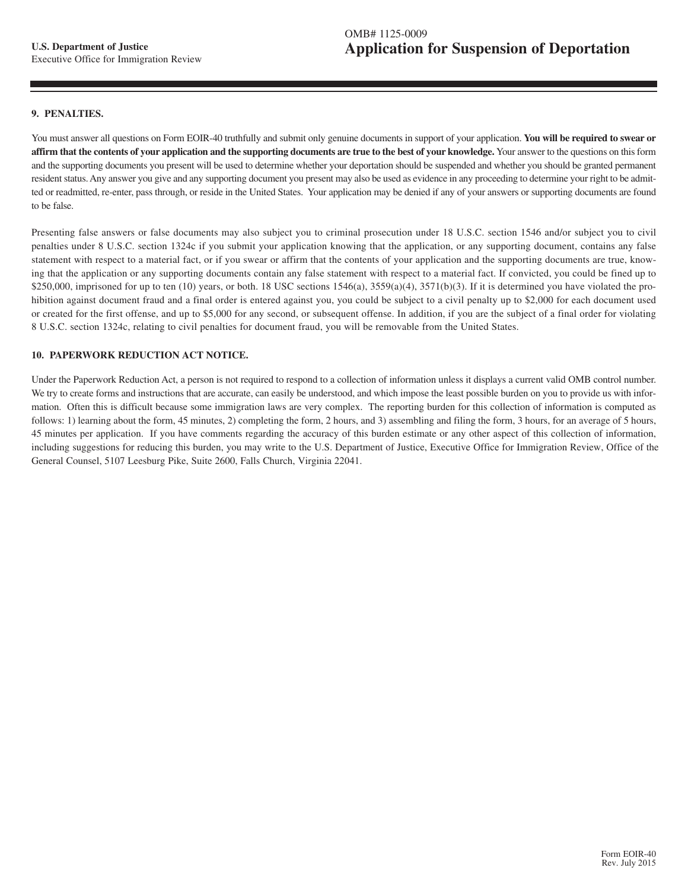#### **9. PENALTIES.**

You must answer all questions on Form EOIR-40 truthfully and submit only genuine documents in support of your application. **You will be required to swear or affirm that the contents of your application and the supporting documents are true to the best of your knowledge.** Your answer to the questions on this form and the supporting documents you present will be used to determine whether your deportation should be suspended and whether you should be granted permanent resident status. Any answer you give and any supporting document you present may also be used as evidence in any proceeding to determine your right to be admitted or readmitted, re-enter, pass through, or reside in the United States. Your application may be denied if any of your answers or supporting documents are found to be false.

Presenting false answers or false documents may also subject you to criminal prosecution under 18 U.S.C. section 1546 and/or subject you to civil penalties under 8 U.S.C. section 1324c if you submit your application knowing that the application, or any supporting document, contains any false statement with respect to a material fact, or if you swear or affirm that the contents of your application and the supporting documents are true, knowing that the application or any supporting documents contain any false statement with respect to a material fact. If convicted, you could be fined up to \$250,000, imprisoned for up to ten (10) years, or both. 18 USC sections  $1546(a)$ ,  $3559(a)(4)$ ,  $3571(b)(3)$ . If it is determined you have violated the prohibition against document fraud and a final order is entered against you, you could be subject to a civil penalty up to \$2,000 for each document used or created for the first offense, and up to \$5,000 for any second, or subsequent offense. In addition, if you are the subject of a final order for violating 8 U.S.C. section 1324c, relating to civil penalties for document fraud, you will be removable from the United States.

#### **10. PAPERWORK REDUCTION ACT NOTICE.**

Under the Paperwork Reduction Act, a person is not required to respond to a collection of information unless it displays a current valid OMB control number. We try to create forms and instructions that are accurate, can easily be understood, and which impose the least possible burden on you to provide us with information. Often this is difficult because some immigration laws are very complex. The reporting burden for this collection of information is computed as follows: 1) learning about the form, 45 minutes, 2) completing the form, 2 hours, and 3) assembling and filing the form, 3 hours, for an average of 5 hours, 45 minutes per application. If you have comments regarding the accuracy of this burden estimate or any other aspect of this collection of information, including suggestions for reducing this burden, you may write to the U.S. Department of Justice, Executive Office for Immigration Review, Office of the General Counsel, 5107 Leesburg Pike, Suite 2600, Falls Church, Virginia 22041.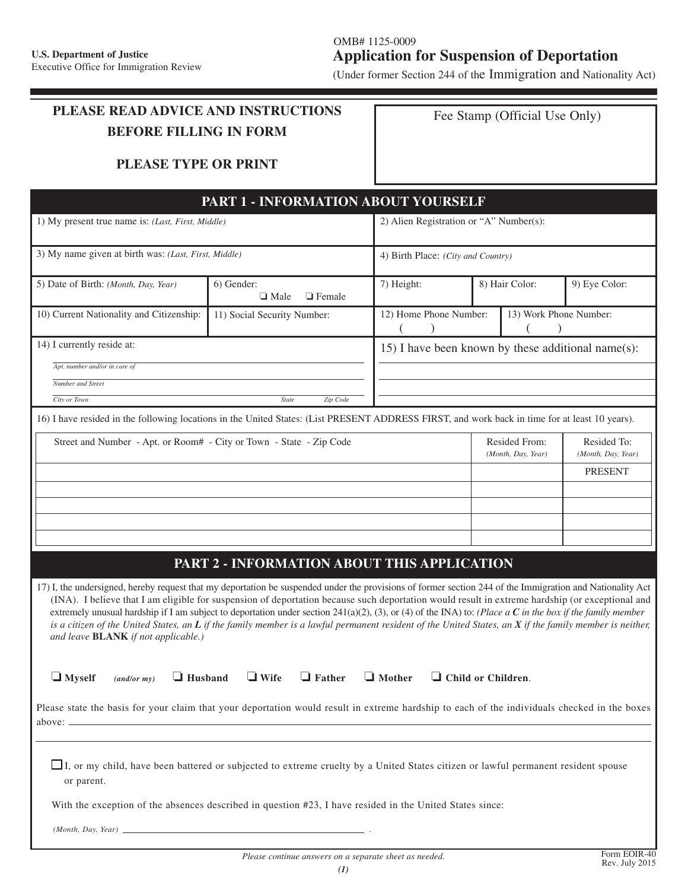(Under former Section 244 of the Immigration and Nationality Act)

# **PLEASE READ ADVICE AND INSTRUCTIONS BEFORE FILLING IN FORM**

Fee Stamp (Official Use Only)

## **PLEASE TYPE OR PRINT**

| PART 1 - INFORMATION ABOUT YOURSELF |  |  |
|-------------------------------------|--|--|

| 1) My present true name is: (Last, First, Middle)                                                                                                                                                       |                                                                                                                                                                                                                                                                                                                                                                                                                                                                             | 2) Alien Registration or "A" Number(s):    |                |                                     |                                   |
|---------------------------------------------------------------------------------------------------------------------------------------------------------------------------------------------------------|-----------------------------------------------------------------------------------------------------------------------------------------------------------------------------------------------------------------------------------------------------------------------------------------------------------------------------------------------------------------------------------------------------------------------------------------------------------------------------|--------------------------------------------|----------------|-------------------------------------|-----------------------------------|
| 3) My name given at birth was: (Last, First, Middle)                                                                                                                                                    |                                                                                                                                                                                                                                                                                                                                                                                                                                                                             | 4) Birth Place: (City and Country)         |                |                                     |                                   |
| 6) Gender:<br>5) Date of Birth: (Month, Day, Year)<br>$\Box$ Female<br>$\Box$ Male                                                                                                                      |                                                                                                                                                                                                                                                                                                                                                                                                                                                                             | 7) Height:                                 | 8) Hair Color: |                                     | 9) Eye Color:                     |
| 10) Current Nationality and Citizenship:<br>11) Social Security Number:                                                                                                                                 |                                                                                                                                                                                                                                                                                                                                                                                                                                                                             | 12) Home Phone Number:                     |                | 13) Work Phone Number:              |                                   |
| 14) I currently reside at:                                                                                                                                                                              | 15) I have been known by these additional name $(s)$ :                                                                                                                                                                                                                                                                                                                                                                                                                      |                                            |                |                                     |                                   |
| Apt. number and/or in care of                                                                                                                                                                           |                                                                                                                                                                                                                                                                                                                                                                                                                                                                             |                                            |                |                                     |                                   |
| Number and Street                                                                                                                                                                                       |                                                                                                                                                                                                                                                                                                                                                                                                                                                                             |                                            |                |                                     |                                   |
| City or Town                                                                                                                                                                                            | State<br>Zip Code                                                                                                                                                                                                                                                                                                                                                                                                                                                           |                                            |                |                                     |                                   |
| 16) I have resided in the following locations in the United States: (List PRESENT ADDRESS FIRST, and work back in time for at least 10 years).                                                          |                                                                                                                                                                                                                                                                                                                                                                                                                                                                             |                                            |                |                                     |                                   |
| Street and Number - Apt. or Room# - City or Town - State - Zip Code                                                                                                                                     |                                                                                                                                                                                                                                                                                                                                                                                                                                                                             |                                            |                | Resided From:<br>(Month, Day, Year) | Resided To:<br>(Month, Day, Year) |
|                                                                                                                                                                                                         |                                                                                                                                                                                                                                                                                                                                                                                                                                                                             |                                            |                | <b>PRESENT</b>                      |                                   |
|                                                                                                                                                                                                         |                                                                                                                                                                                                                                                                                                                                                                                                                                                                             |                                            |                |                                     |                                   |
|                                                                                                                                                                                                         |                                                                                                                                                                                                                                                                                                                                                                                                                                                                             |                                            |                |                                     |                                   |
|                                                                                                                                                                                                         |                                                                                                                                                                                                                                                                                                                                                                                                                                                                             |                                            |                |                                     |                                   |
|                                                                                                                                                                                                         | PART 2 - INFORMATION ABOUT THIS APPLICATION                                                                                                                                                                                                                                                                                                                                                                                                                                 |                                            |                |                                     |                                   |
| 17) I, the undersigned, hereby request that my deportation be suspended under the provisions of former section 244 of the Immigration and Nationality Act<br>and leave <b>BLANK</b> if not applicable.) | (INA). I believe that I am eligible for suspension of deportation because such deportation would result in extreme hardship (or exceptional and<br>extremely unusual hardship if I am subject to deportation under section 241(a)(2), (3), or (4) of the INA) to: (Place a C in the box if the family member<br>is a citizen of the United States, an $L$ if the family member is a lawful permanent resident of the United States, an $X$ if the family member is neither, |                                            |                |                                     |                                   |
| $\Box$ Myself<br>$\Box$ Husband<br>(and/or my)                                                                                                                                                          | $\Box$ Wife<br>$\Box$ Father                                                                                                                                                                                                                                                                                                                                                                                                                                                | $\Box$ Mother<br>$\Box$ Child or Children. |                |                                     |                                   |

Please state the basis for your claim that your deportation would result in extreme hardship to each of the individuals checked in the boxes

❏ I, or my child, have been battered or subjected to extreme cruelty by a United States citizen or lawful permanent resident spouse or parent.

With the exception of the absences described in question #23, I have resided in the United States since:

*(Month, Day, Year) .*

above: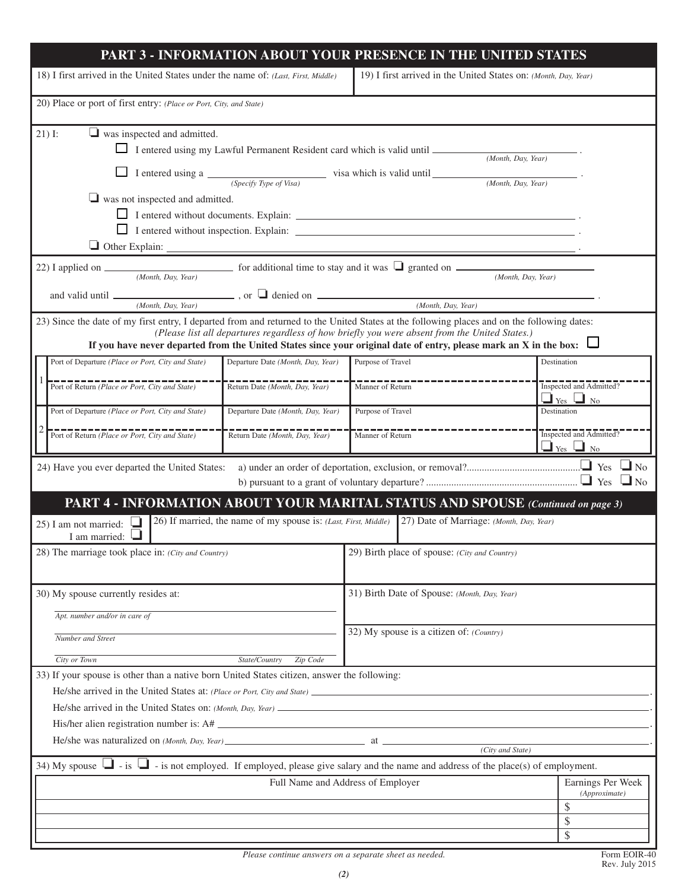|                                                                                                                                                                                                                                | PART 3 - INFORMATION ABOUT YOUR PRESENCE IN THE UNITED STATES                                            |                   |                                                                 |                           |                                    |
|--------------------------------------------------------------------------------------------------------------------------------------------------------------------------------------------------------------------------------|----------------------------------------------------------------------------------------------------------|-------------------|-----------------------------------------------------------------|---------------------------|------------------------------------|
| 18) I first arrived in the United States under the name of: (Last, First, Middle)                                                                                                                                              |                                                                                                          |                   | 19) I first arrived in the United States on: (Month, Day, Year) |                           |                                    |
| 20) Place or port of first entry: (Place or Port, City, and State)                                                                                                                                                             |                                                                                                          |                   |                                                                 |                           |                                    |
| $\Box$ was inspected and admitted.<br>$21)$ I:                                                                                                                                                                                 |                                                                                                          |                   |                                                                 |                           |                                    |
|                                                                                                                                                                                                                                | I entered using my Lawful Permanent Resident card which is valid until ________                          |                   |                                                                 | (Month, Day, Year)        |                                    |
|                                                                                                                                                                                                                                | I entered using a $\frac{1}{\sqrt{(Specify Type of Visa)}}$ visa which is valid until                    |                   |                                                                 | (Month, Day, Year)        |                                    |
|                                                                                                                                                                                                                                |                                                                                                          |                   |                                                                 |                           |                                    |
| $\Box$ was not inspected and admitted.                                                                                                                                                                                         |                                                                                                          |                   |                                                                 |                           |                                    |
|                                                                                                                                                                                                                                |                                                                                                          |                   |                                                                 |                           |                                    |
|                                                                                                                                                                                                                                |                                                                                                          |                   |                                                                 |                           |                                    |
|                                                                                                                                                                                                                                |                                                                                                          |                   |                                                                 |                           |                                    |
|                                                                                                                                                                                                                                |                                                                                                          |                   |                                                                 | (Month, Day, Year)        |                                    |
| and valid until $\qquad \qquad$ , or $\Box$ denied on $\Box$<br>(Month, Day, Year)                                                                                                                                             |                                                                                                          |                   | (Month, Day, Year)                                              |                           |                                    |
| 23) Since the date of my first entry, I departed from and returned to the United States at the following places and on the following dates:                                                                                    |                                                                                                          |                   |                                                                 |                           |                                    |
| If you have never departed from the United States since your original date of entry, please mark an X in the box:                                                                                                              | (Please list all departures regardless of how briefly you were absent from the United States.)           |                   |                                                                 |                           |                                    |
| Port of Departure (Place or Port, City and State)                                                                                                                                                                              | Departure Date (Month, Day, Year)                                                                        | Purpose of Travel |                                                                 |                           | Destination                        |
| Port of Return ( <i>Place or Port, City and State</i> )                                                                                                                                                                        |                                                                                                          |                   |                                                                 |                           | Inspected and Admitted?            |
|                                                                                                                                                                                                                                | Return Date (Month, Day, Year)                                                                           | Manner of Return  |                                                                 |                           | $\Box$ Yes $\Box$ No               |
| Port of Departure (Place or Port, City and State)                                                                                                                                                                              | Departure Date (Month, Day, Year)                                                                        | Purpose of Travel |                                                                 |                           | Destination                        |
| Port of Return ( <i>Place or Port, City and State</i> )                                                                                                                                                                        | Return Date (Month, Day, Year)                                                                           | Manner of Return  |                                                                 |                           | Inspected and Admitted?            |
|                                                                                                                                                                                                                                |                                                                                                          |                   |                                                                 |                           | $\Box$ Yes $\Box$ No               |
| 24) Have you ever departed the United States:                                                                                                                                                                                  |                                                                                                          |                   |                                                                 |                           |                                    |
|                                                                                                                                                                                                                                |                                                                                                          |                   |                                                                 |                           |                                    |
| PART 4 - INFORMATION ABOUT YOUR MARITAL STATUS AND SPOUSE (Continued on page 3)                                                                                                                                                |                                                                                                          |                   |                                                                 |                           |                                    |
| 25) I am not married: $\Box$<br>I am married: $\Box$                                                                                                                                                                           | 26) If married, the name of my spouse is: (Last, First, Middle) 27) Date of Marriage: (Month, Day, Year) |                   |                                                                 |                           |                                    |
| 28) The marriage took place in: (City and Country)                                                                                                                                                                             |                                                                                                          |                   | 29) Birth place of spouse: (City and Country)                   |                           |                                    |
|                                                                                                                                                                                                                                |                                                                                                          |                   |                                                                 |                           |                                    |
|                                                                                                                                                                                                                                |                                                                                                          |                   | 31) Birth Date of Spouse: (Month, Day, Year)                    |                           |                                    |
| 30) My spouse currently resides at:                                                                                                                                                                                            |                                                                                                          |                   |                                                                 |                           |                                    |
| Apt. number and/or in care of                                                                                                                                                                                                  |                                                                                                          |                   |                                                                 |                           |                                    |
| Number and Street                                                                                                                                                                                                              |                                                                                                          |                   | 32) My spouse is a citizen of: (Country)                        |                           |                                    |
| City or Town                                                                                                                                                                                                                   | State/Country<br>Zip Code                                                                                |                   |                                                                 |                           |                                    |
| 33) If your spouse is other than a native born United States citizen, answer the following:                                                                                                                                    |                                                                                                          |                   |                                                                 |                           |                                    |
|                                                                                                                                                                                                                                |                                                                                                          |                   |                                                                 |                           |                                    |
|                                                                                                                                                                                                                                |                                                                                                          |                   |                                                                 |                           |                                    |
|                                                                                                                                                                                                                                |                                                                                                          |                   |                                                                 |                           |                                    |
| He/she was naturalized on (Month, Day, Year) and a state of the state of the state of the state of the state of the state of the state of the state of the state of the state of the state of the state of the state of the st |                                                                                                          |                   |                                                                 | $(\text{City and State})$ |                                    |
| 34) My spouse $\Box$ - is $\Box$ - is not employed. If employed, please give salary and the name and address of the place(s) of employment.                                                                                    |                                                                                                          |                   |                                                                 |                           |                                    |
|                                                                                                                                                                                                                                | Full Name and Address of Employer                                                                        |                   |                                                                 |                           | Earnings Per Week<br>(Approximate) |
|                                                                                                                                                                                                                                |                                                                                                          |                   |                                                                 |                           | \$                                 |
|                                                                                                                                                                                                                                |                                                                                                          |                   |                                                                 |                           | \$                                 |
|                                                                                                                                                                                                                                |                                                                                                          |                   |                                                                 |                           | \$                                 |

*Please continue answers on a separate sheet as needed.*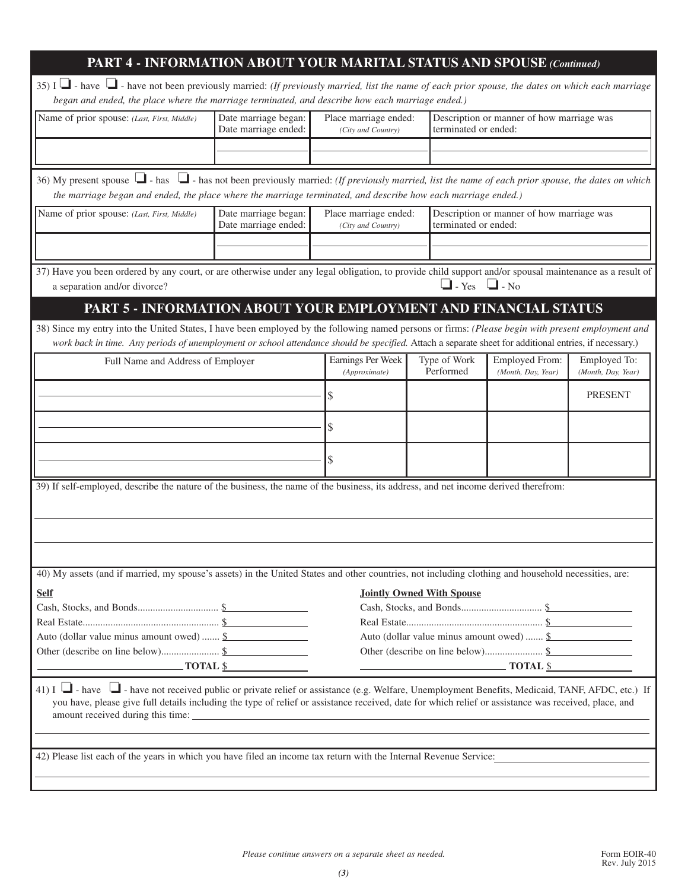| Name of prior spouse: (Last, First, Middle)                                                                                                                                                                                                                                                                                                                                       | Date marriage began:<br>Date marriage ended:                                                                                        | Place marriage ended:<br>(City and Country) | terminated or ended:             | Description or manner of how marriage was |                                    |
|-----------------------------------------------------------------------------------------------------------------------------------------------------------------------------------------------------------------------------------------------------------------------------------------------------------------------------------------------------------------------------------|-------------------------------------------------------------------------------------------------------------------------------------|---------------------------------------------|----------------------------------|-------------------------------------------|------------------------------------|
|                                                                                                                                                                                                                                                                                                                                                                                   |                                                                                                                                     |                                             |                                  |                                           |                                    |
| 36) My present spouse $\Box$ - has $\Box$ - has not been previously married: (If previously married, list the name of each prior spouse, the dates on which<br>the marriage began and ended, the place where the marriage terminated, and describe how each marriage ended.)                                                                                                      |                                                                                                                                     |                                             |                                  |                                           |                                    |
| Name of prior spouse: (Last, First, Middle)                                                                                                                                                                                                                                                                                                                                       | Date marriage began:<br>Date marriage ended:                                                                                        | Place marriage ended:<br>(City and Country) | terminated or ended:             | Description or manner of how marriage was |                                    |
|                                                                                                                                                                                                                                                                                                                                                                                   |                                                                                                                                     |                                             |                                  |                                           |                                    |
| 37) Have you been ordered by any court, or are otherwise under any legal obligation, to provide child support and/or spousal maintenance as a result of<br>a separation and/or divorce?                                                                                                                                                                                           |                                                                                                                                     |                                             | $\Box$ - Yes $\Box$ - No         |                                           |                                    |
| PART 5 - INFORMATION ABOUT YOUR EMPLOYMENT AND FINANCIAL STATUS                                                                                                                                                                                                                                                                                                                   |                                                                                                                                     |                                             |                                  |                                           |                                    |
| 38) Since my entry into the United States, I have been employed by the following named persons or firms: (Please begin with present employment and<br>work back in time. Any periods of unemployment or school attendance should be specified. Attach a separate sheet for additional entries, if necessary.)                                                                     |                                                                                                                                     |                                             |                                  |                                           |                                    |
| Full Name and Address of Employer                                                                                                                                                                                                                                                                                                                                                 |                                                                                                                                     | Earnings Per Week<br>(Approximate)          | Type of Work<br>Performed        | Employed From:<br>(Month, Day, Year)      | Employed To:<br>(Month, Day, Year) |
|                                                                                                                                                                                                                                                                                                                                                                                   |                                                                                                                                     | \$                                          |                                  |                                           | <b>PRESENT</b>                     |
|                                                                                                                                                                                                                                                                                                                                                                                   |                                                                                                                                     | \$                                          |                                  |                                           |                                    |
|                                                                                                                                                                                                                                                                                                                                                                                   |                                                                                                                                     | \$                                          |                                  |                                           |                                    |
|                                                                                                                                                                                                                                                                                                                                                                                   | 39) If self-employed, describe the nature of the business, the name of the business, its address, and net income derived therefrom: |                                             |                                  |                                           |                                    |
|                                                                                                                                                                                                                                                                                                                                                                                   |                                                                                                                                     |                                             |                                  |                                           |                                    |
|                                                                                                                                                                                                                                                                                                                                                                                   |                                                                                                                                     |                                             |                                  |                                           |                                    |
|                                                                                                                                                                                                                                                                                                                                                                                   |                                                                                                                                     |                                             |                                  |                                           |                                    |
|                                                                                                                                                                                                                                                                                                                                                                                   |                                                                                                                                     |                                             |                                  |                                           |                                    |
|                                                                                                                                                                                                                                                                                                                                                                                   |                                                                                                                                     |                                             |                                  |                                           |                                    |
|                                                                                                                                                                                                                                                                                                                                                                                   |                                                                                                                                     |                                             |                                  |                                           |                                    |
|                                                                                                                                                                                                                                                                                                                                                                                   |                                                                                                                                     |                                             | <b>Jointly Owned With Spouse</b> |                                           |                                    |
|                                                                                                                                                                                                                                                                                                                                                                                   |                                                                                                                                     |                                             |                                  |                                           |                                    |
|                                                                                                                                                                                                                                                                                                                                                                                   |                                                                                                                                     |                                             |                                  |                                           |                                    |
|                                                                                                                                                                                                                                                                                                                                                                                   |                                                                                                                                     |                                             |                                  | Auto (dollar value minus amount owed)  \$ |                                    |
|                                                                                                                                                                                                                                                                                                                                                                                   |                                                                                                                                     |                                             |                                  |                                           |                                    |
| $\overbrace{\text{TOTAL } \S}$                                                                                                                                                                                                                                                                                                                                                    |                                                                                                                                     |                                             |                                  | $\overbrace{\text{TOTAL } \S}$            |                                    |
| you have, please give full details including the type of relief or assistance received, date for which relief or assistance was received, place, and                                                                                                                                                                                                                              |                                                                                                                                     |                                             |                                  |                                           |                                    |
| 40) My assets (and if married, my spouse's assets) in the United States and other countries, not including clothing and household necessities, are:<br><b>Self</b><br>Auto (dollar value minus amount owed)  \$<br>41) I <b>I</b> - have <b>I</b> - have not received public or private relief or assistance (e.g. Welfare, Unemployment Benefits, Medicaid, TANF, AFDC, etc.) If |                                                                                                                                     |                                             |                                  |                                           |                                    |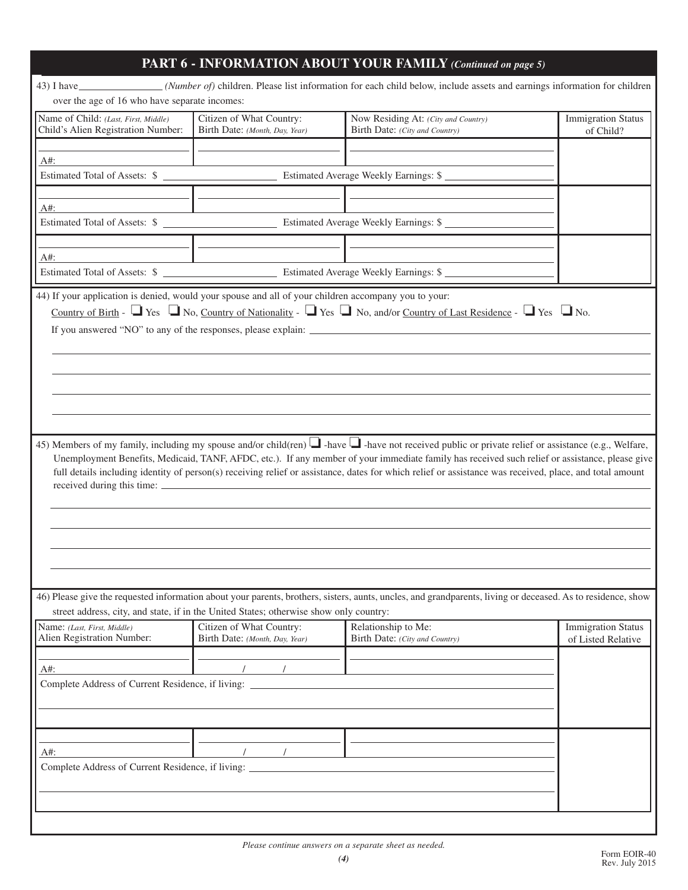|                                                                                                      |                                                                                                                                                                                                                                                                                                                     | PART 6 - INFORMATION ABOUT YOUR FAMILY (Continued on page 5)                                                                                                                                                                                                                                                                                                                                                                                                               |                                                 |
|------------------------------------------------------------------------------------------------------|---------------------------------------------------------------------------------------------------------------------------------------------------------------------------------------------------------------------------------------------------------------------------------------------------------------------|----------------------------------------------------------------------------------------------------------------------------------------------------------------------------------------------------------------------------------------------------------------------------------------------------------------------------------------------------------------------------------------------------------------------------------------------------------------------------|-------------------------------------------------|
|                                                                                                      |                                                                                                                                                                                                                                                                                                                     | 43) I have_________________(Number of) children. Please list information for each child below, include assets and earnings information for children                                                                                                                                                                                                                                                                                                                        |                                                 |
| over the age of 16 who have separate incomes:                                                        |                                                                                                                                                                                                                                                                                                                     |                                                                                                                                                                                                                                                                                                                                                                                                                                                                            |                                                 |
| Name of Child: (Last, First, Middle)<br>Child's Alien Registration Number:                           | Citizen of What Country:<br>Birth Date: (Month, Day, Year)                                                                                                                                                                                                                                                          | Now Residing At: (City and Country)<br>Birth Date: (City and Country)                                                                                                                                                                                                                                                                                                                                                                                                      | <b>Immigration Status</b><br>of Child?          |
|                                                                                                      |                                                                                                                                                                                                                                                                                                                     |                                                                                                                                                                                                                                                                                                                                                                                                                                                                            |                                                 |
| A#:                                                                                                  |                                                                                                                                                                                                                                                                                                                     |                                                                                                                                                                                                                                                                                                                                                                                                                                                                            |                                                 |
|                                                                                                      |                                                                                                                                                                                                                                                                                                                     | Estimated Total of Assets: \$                                                                                                                                                                                                                                                                                                                                                                                                                                              |                                                 |
|                                                                                                      |                                                                                                                                                                                                                                                                                                                     |                                                                                                                                                                                                                                                                                                                                                                                                                                                                            |                                                 |
| A#:                                                                                                  |                                                                                                                                                                                                                                                                                                                     |                                                                                                                                                                                                                                                                                                                                                                                                                                                                            |                                                 |
|                                                                                                      |                                                                                                                                                                                                                                                                                                                     |                                                                                                                                                                                                                                                                                                                                                                                                                                                                            |                                                 |
| A#:                                                                                                  |                                                                                                                                                                                                                                                                                                                     |                                                                                                                                                                                                                                                                                                                                                                                                                                                                            |                                                 |
|                                                                                                      |                                                                                                                                                                                                                                                                                                                     | Estimated Total of Assets: \$                                                                                                                                                                                                                                                                                                                                                                                                                                              |                                                 |
| 44) If your application is denied, would your spouse and all of your children accompany you to your: |                                                                                                                                                                                                                                                                                                                     |                                                                                                                                                                                                                                                                                                                                                                                                                                                                            |                                                 |
|                                                                                                      |                                                                                                                                                                                                                                                                                                                     |                                                                                                                                                                                                                                                                                                                                                                                                                                                                            |                                                 |
|                                                                                                      |                                                                                                                                                                                                                                                                                                                     |                                                                                                                                                                                                                                                                                                                                                                                                                                                                            |                                                 |
|                                                                                                      |                                                                                                                                                                                                                                                                                                                     |                                                                                                                                                                                                                                                                                                                                                                                                                                                                            |                                                 |
|                                                                                                      |                                                                                                                                                                                                                                                                                                                     | 45) Members of my family, including my spouse and/or child(ren) $\Box$ -have $\Box$ -have not received public or private relief or assistance (e.g., Welfare,<br>Unemployment Benefits, Medicaid, TANF, AFDC, etc.). If any member of your immediate family has received such relief or assistance, please give<br>full details including identity of person(s) receiving relief or assistance, dates for which relief or assistance was received, place, and total amount |                                                 |
|                                                                                                      |                                                                                                                                                                                                                                                                                                                     |                                                                                                                                                                                                                                                                                                                                                                                                                                                                            |                                                 |
|                                                                                                      |                                                                                                                                                                                                                                                                                                                     |                                                                                                                                                                                                                                                                                                                                                                                                                                                                            |                                                 |
|                                                                                                      |                                                                                                                                                                                                                                                                                                                     | 46) Please give the requested information about your parents, brothers, sisters, aunts, uncles, and grandparents, living or deceased. As to residence, show                                                                                                                                                                                                                                                                                                                |                                                 |
| Name: (Last, First, Middle)                                                                          | street address, city, and state, if in the United States; otherwise show only country:<br>Citizen of What Country:                                                                                                                                                                                                  | Relationship to Me:                                                                                                                                                                                                                                                                                                                                                                                                                                                        |                                                 |
| Alien Registration Number:                                                                           | Birth Date: (Month, Day, Year)                                                                                                                                                                                                                                                                                      | Birth Date: (City and Country)                                                                                                                                                                                                                                                                                                                                                                                                                                             | <b>Immigration Status</b><br>of Listed Relative |
|                                                                                                      |                                                                                                                                                                                                                                                                                                                     |                                                                                                                                                                                                                                                                                                                                                                                                                                                                            |                                                 |
| A#:                                                                                                  | $\frac{1}{2}$ $\frac{1}{2}$ $\frac{1}{2}$ $\frac{1}{2}$ $\frac{1}{2}$ $\frac{1}{2}$ $\frac{1}{2}$ $\frac{1}{2}$ $\frac{1}{2}$ $\frac{1}{2}$ $\frac{1}{2}$ $\frac{1}{2}$ $\frac{1}{2}$ $\frac{1}{2}$ $\frac{1}{2}$ $\frac{1}{2}$ $\frac{1}{2}$ $\frac{1}{2}$ $\frac{1}{2}$ $\frac{1}{2}$ $\frac{1}{2}$ $\frac{1}{2}$ |                                                                                                                                                                                                                                                                                                                                                                                                                                                                            |                                                 |
| Complete Address of Current Residence, if living: _______________________________                    |                                                                                                                                                                                                                                                                                                                     |                                                                                                                                                                                                                                                                                                                                                                                                                                                                            |                                                 |
|                                                                                                      |                                                                                                                                                                                                                                                                                                                     |                                                                                                                                                                                                                                                                                                                                                                                                                                                                            |                                                 |
|                                                                                                      |                                                                                                                                                                                                                                                                                                                     |                                                                                                                                                                                                                                                                                                                                                                                                                                                                            |                                                 |
|                                                                                                      |                                                                                                                                                                                                                                                                                                                     |                                                                                                                                                                                                                                                                                                                                                                                                                                                                            |                                                 |
| A#:                                                                                                  |                                                                                                                                                                                                                                                                                                                     |                                                                                                                                                                                                                                                                                                                                                                                                                                                                            |                                                 |
| Complete Address of Current Residence, if living:                                                    |                                                                                                                                                                                                                                                                                                                     |                                                                                                                                                                                                                                                                                                                                                                                                                                                                            |                                                 |
|                                                                                                      |                                                                                                                                                                                                                                                                                                                     |                                                                                                                                                                                                                                                                                                                                                                                                                                                                            |                                                 |
|                                                                                                      |                                                                                                                                                                                                                                                                                                                     |                                                                                                                                                                                                                                                                                                                                                                                                                                                                            |                                                 |
|                                                                                                      |                                                                                                                                                                                                                                                                                                                     |                                                                                                                                                                                                                                                                                                                                                                                                                                                                            |                                                 |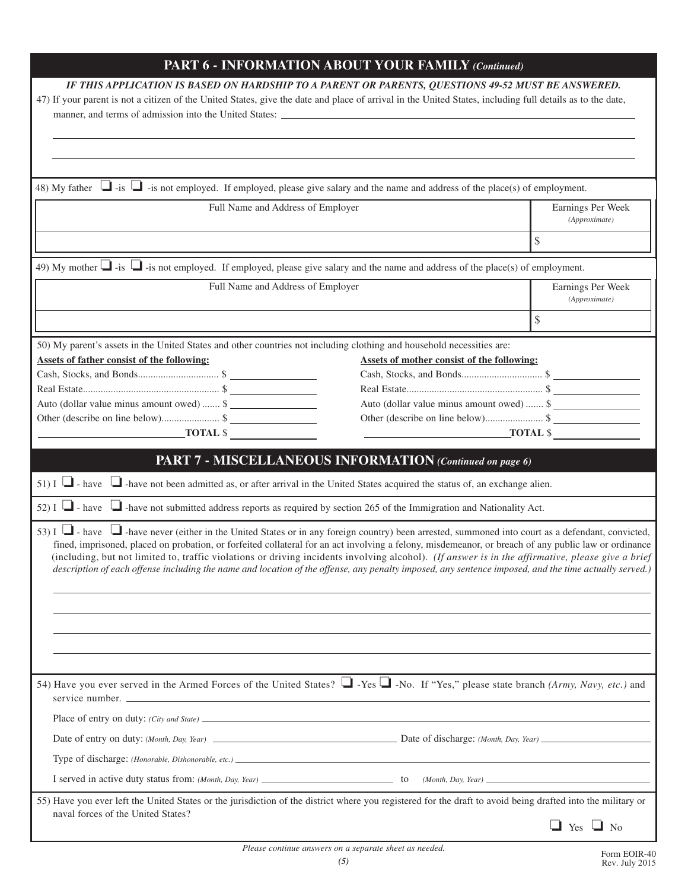| PART 6 - INFORMATION ABOUT YOUR FAMILY (Continued)                                                                                                                                                                                                                                                                                                                                                                                                                                                                                                                                                                              |                                           |
|---------------------------------------------------------------------------------------------------------------------------------------------------------------------------------------------------------------------------------------------------------------------------------------------------------------------------------------------------------------------------------------------------------------------------------------------------------------------------------------------------------------------------------------------------------------------------------------------------------------------------------|-------------------------------------------|
| IF THIS APPLICATION IS BASED ON HARDSHIP TO A PARENT OR PARENTS, QUESTIONS 49-52 MUST BE ANSWERED.                                                                                                                                                                                                                                                                                                                                                                                                                                                                                                                              |                                           |
| 47) If your parent is not a citizen of the United States, give the date and place of arrival in the United States, including full details as to the date,                                                                                                                                                                                                                                                                                                                                                                                                                                                                       |                                           |
|                                                                                                                                                                                                                                                                                                                                                                                                                                                                                                                                                                                                                                 |                                           |
|                                                                                                                                                                                                                                                                                                                                                                                                                                                                                                                                                                                                                                 |                                           |
|                                                                                                                                                                                                                                                                                                                                                                                                                                                                                                                                                                                                                                 |                                           |
|                                                                                                                                                                                                                                                                                                                                                                                                                                                                                                                                                                                                                                 |                                           |
| 48) My father $\Box$ -is $\Box$ -is not employed. If employed, please give salary and the name and address of the place(s) of employment.                                                                                                                                                                                                                                                                                                                                                                                                                                                                                       |                                           |
| Full Name and Address of Employer                                                                                                                                                                                                                                                                                                                                                                                                                                                                                                                                                                                               | Earnings Per Week                         |
|                                                                                                                                                                                                                                                                                                                                                                                                                                                                                                                                                                                                                                 | (Approximate)                             |
|                                                                                                                                                                                                                                                                                                                                                                                                                                                                                                                                                                                                                                 | \$                                        |
| 49) My mother $\Box$ -is $\Box$ -is not employed. If employed, please give salary and the name and address of the place(s) of employment.                                                                                                                                                                                                                                                                                                                                                                                                                                                                                       |                                           |
| Full Name and Address of Employer                                                                                                                                                                                                                                                                                                                                                                                                                                                                                                                                                                                               | Earnings Per Week                         |
|                                                                                                                                                                                                                                                                                                                                                                                                                                                                                                                                                                                                                                 | (Approximate)                             |
|                                                                                                                                                                                                                                                                                                                                                                                                                                                                                                                                                                                                                                 | $\mathcal{S}$                             |
|                                                                                                                                                                                                                                                                                                                                                                                                                                                                                                                                                                                                                                 |                                           |
| 50) My parent's assets in the United States and other countries not including clothing and household necessities are:                                                                                                                                                                                                                                                                                                                                                                                                                                                                                                           |                                           |
| Assets of mother consist of the following:<br><b>Assets of father consist of the following:</b>                                                                                                                                                                                                                                                                                                                                                                                                                                                                                                                                 |                                           |
|                                                                                                                                                                                                                                                                                                                                                                                                                                                                                                                                                                                                                                 |                                           |
|                                                                                                                                                                                                                                                                                                                                                                                                                                                                                                                                                                                                                                 |                                           |
| Auto (dollar value minus amount owed)  \$                                                                                                                                                                                                                                                                                                                                                                                                                                                                                                                                                                                       | Auto (dollar value minus amount owed)  \$ |
| Other (describe on line below) \$                                                                                                                                                                                                                                                                                                                                                                                                                                                                                                                                                                                               | Other (describe on line below) \$         |
| $\overline{\text{TOTAL S}}$                                                                                                                                                                                                                                                                                                                                                                                                                                                                                                                                                                                                     | $TOTAL$ \$                                |
| PART 7 - MISCELLANEOUS INFORMATION (Continued on page 6)                                                                                                                                                                                                                                                                                                                                                                                                                                                                                                                                                                        |                                           |
| 51) I $\Box$ - have $\Box$ -have not been admitted as, or after arrival in the United States acquired the status of, an exchange alien.                                                                                                                                                                                                                                                                                                                                                                                                                                                                                         |                                           |
| 52) I $\Box$ have $\Box$ have not submitted address reports as required by section 265 of the Immigration and Nationality Act.                                                                                                                                                                                                                                                                                                                                                                                                                                                                                                  |                                           |
| 53) I $\Box$ have $\Box$ have never (either in the United States or in any foreign country) been arrested, summoned into court as a defendant, convicted,<br>fined, imprisoned, placed on probation, or forfeited collateral for an act involving a felony, misdemeanor, or breach of any public law or ordinance<br>(including, but not limited to, traffic violations or driving incidents involving alcohol). (If answer is in the affirmative, please give a brief<br>description of each offense including the name and location of the offense, any penalty imposed, any sentence imposed, and the time actually served.) |                                           |
|                                                                                                                                                                                                                                                                                                                                                                                                                                                                                                                                                                                                                                 |                                           |
| 54) Have you ever served in the Armed Forces of the United States? 1 -Yes 1 -No. If "Yes," please state branch (Army, Navy, etc.) and                                                                                                                                                                                                                                                                                                                                                                                                                                                                                           |                                           |
|                                                                                                                                                                                                                                                                                                                                                                                                                                                                                                                                                                                                                                 |                                           |
| Date of entry on duty: (Month, Day, Year)<br>Date of discharge: (Month, Day, Year)  Date of discharge: (Month, Day, Year)  Date of discharge: (Month, Day, Year)                                                                                                                                                                                                                                                                                                                                                                                                                                                                |                                           |
|                                                                                                                                                                                                                                                                                                                                                                                                                                                                                                                                                                                                                                 |                                           |
|                                                                                                                                                                                                                                                                                                                                                                                                                                                                                                                                                                                                                                 |                                           |
| 55) Have you ever left the United States or the jurisdiction of the district where you registered for the draft to avoid being drafted into the military or                                                                                                                                                                                                                                                                                                                                                                                                                                                                     |                                           |
| naval forces of the United States?                                                                                                                                                                                                                                                                                                                                                                                                                                                                                                                                                                                              | $\Box$ Yes $\Box$ No                      |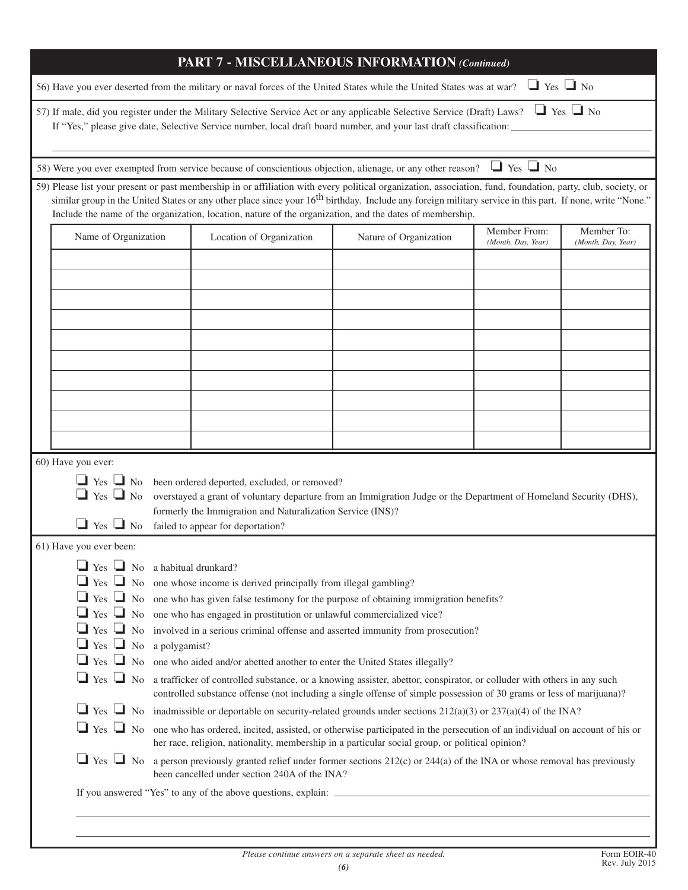| <b>PART 7 - MISCELLANEOUS INFORMATION (Continued)</b>                                                                                                                                                                                                                                                                                                                                                                                             |                                                                                                                                                                                                                                                    |                        |                                    |                                  |  |  |
|---------------------------------------------------------------------------------------------------------------------------------------------------------------------------------------------------------------------------------------------------------------------------------------------------------------------------------------------------------------------------------------------------------------------------------------------------|----------------------------------------------------------------------------------------------------------------------------------------------------------------------------------------------------------------------------------------------------|------------------------|------------------------------------|----------------------------------|--|--|
| $\Box$ Yes $\Box$ No<br>56) Have you ever deserted from the military or naval forces of the United States while the United States was at war?                                                                                                                                                                                                                                                                                                     |                                                                                                                                                                                                                                                    |                        |                                    |                                  |  |  |
| $\Box$ Yes $\Box$ No<br>57) If male, did you register under the Military Selective Service Act or any applicable Selective Service (Draft) Laws?<br>If "Yes," please give date, Selective Service number, local draft board number, and your last draft classification:                                                                                                                                                                           |                                                                                                                                                                                                                                                    |                        |                                    |                                  |  |  |
|                                                                                                                                                                                                                                                                                                                                                                                                                                                   |                                                                                                                                                                                                                                                    |                        |                                    |                                  |  |  |
| 58) Were you ever exempted from service because of conscientious objection, alienage, or any other reason?                                                                                                                                                                                                                                                                                                                                        |                                                                                                                                                                                                                                                    |                        | $\Box$ Yes $\Box$ No               |                                  |  |  |
| 59) Please list your present or past membership in or affiliation with every political organization, association, fund, foundation, party, club, society, or<br>similar group in the United States or any other place since your 16 <sup>th</sup> birthday. Include any foreign military service in this part. If none, write "None."<br>Include the name of the organization, location, nature of the organization, and the dates of membership. |                                                                                                                                                                                                                                                    |                        |                                    |                                  |  |  |
| Name of Organization                                                                                                                                                                                                                                                                                                                                                                                                                              | Location of Organization                                                                                                                                                                                                                           | Nature of Organization | Member From:<br>(Month, Day, Year) | Member To:<br>(Month, Day, Year) |  |  |
|                                                                                                                                                                                                                                                                                                                                                                                                                                                   |                                                                                                                                                                                                                                                    |                        |                                    |                                  |  |  |
|                                                                                                                                                                                                                                                                                                                                                                                                                                                   |                                                                                                                                                                                                                                                    |                        |                                    |                                  |  |  |
|                                                                                                                                                                                                                                                                                                                                                                                                                                                   |                                                                                                                                                                                                                                                    |                        |                                    |                                  |  |  |
|                                                                                                                                                                                                                                                                                                                                                                                                                                                   |                                                                                                                                                                                                                                                    |                        |                                    |                                  |  |  |
|                                                                                                                                                                                                                                                                                                                                                                                                                                                   |                                                                                                                                                                                                                                                    |                        |                                    |                                  |  |  |
|                                                                                                                                                                                                                                                                                                                                                                                                                                                   |                                                                                                                                                                                                                                                    |                        |                                    |                                  |  |  |
|                                                                                                                                                                                                                                                                                                                                                                                                                                                   |                                                                                                                                                                                                                                                    |                        |                                    |                                  |  |  |
|                                                                                                                                                                                                                                                                                                                                                                                                                                                   |                                                                                                                                                                                                                                                    |                        |                                    |                                  |  |  |
| 60) Have you ever:                                                                                                                                                                                                                                                                                                                                                                                                                                |                                                                                                                                                                                                                                                    |                        |                                    |                                  |  |  |
| $\Box$ Yes $\Box$ No<br>$\Box$ Yes $\Box$ No                                                                                                                                                                                                                                                                                                                                                                                                      | been ordered deported, excluded, or removed?<br>overstayed a grant of voluntary departure from an Immigration Judge or the Department of Homeland Security (DHS),                                                                                  |                        |                                    |                                  |  |  |
| $\Box$ Yes $\Box$ No                                                                                                                                                                                                                                                                                                                                                                                                                              | formerly the Immigration and Naturalization Service (INS)?                                                                                                                                                                                         |                        |                                    |                                  |  |  |
| failed to appear for deportation?<br>61) Have you ever been:                                                                                                                                                                                                                                                                                                                                                                                      |                                                                                                                                                                                                                                                    |                        |                                    |                                  |  |  |
|                                                                                                                                                                                                                                                                                                                                                                                                                                                   | $\Box$ Yes $\Box$ No a habitual drunkard?                                                                                                                                                                                                          |                        |                                    |                                  |  |  |
| $\Box$ Yes $\Box$ No one whose income is derived principally from illegal gambling?                                                                                                                                                                                                                                                                                                                                                               |                                                                                                                                                                                                                                                    |                        |                                    |                                  |  |  |
| $\Box$ No one who has given false testimony for the purpose of obtaining immigration benefits?<br>$\Box$ Yes $\Box$ No one who has engaged in prostitution or unlawful commercialized vice?                                                                                                                                                                                                                                                       |                                                                                                                                                                                                                                                    |                        |                                    |                                  |  |  |
|                                                                                                                                                                                                                                                                                                                                                                                                                                                   | $\Box$ Yes $\Box$ No involved in a serious criminal offense and asserted immunity from prosecution?                                                                                                                                                |                        |                                    |                                  |  |  |
|                                                                                                                                                                                                                                                                                                                                                                                                                                                   | $\Box$ Yes $\Box$ No a polygamist?                                                                                                                                                                                                                 |                        |                                    |                                  |  |  |
|                                                                                                                                                                                                                                                                                                                                                                                                                                                   | ■ Yes ■ No one who aided and/or abetted another to enter the United States illegally?                                                                                                                                                              |                        |                                    |                                  |  |  |
| ■ Yes ■ No a trafficker of controlled substance, or a knowing assister, abettor, conspirator, or colluder with others in any such<br>controlled substance offense (not including a single offense of simple possession of 30 grams or less of marijuana)?                                                                                                                                                                                         |                                                                                                                                                                                                                                                    |                        |                                    |                                  |  |  |
|                                                                                                                                                                                                                                                                                                                                                                                                                                                   | $\Box$ Yes $\Box$ No inadmissible or deportable on security-related grounds under sections 212(a)(3) or 237(a)(4) of the INA?                                                                                                                      |                        |                                    |                                  |  |  |
|                                                                                                                                                                                                                                                                                                                                                                                                                                                   | $\Box$ Yes $\Box$ No one who has ordered, incited, assisted, or otherwise participated in the persecution of an individual on account of his or<br>her race, religion, nationality, membership in a particular social group, or political opinion? |                        |                                    |                                  |  |  |
|                                                                                                                                                                                                                                                                                                                                                                                                                                                   | $\Box$ Yes $\Box$ No a person previously granted relief under former sections 212(c) or 244(a) of the INA or whose removal has previously<br>been cancelled under section 240A of the INA?                                                         |                        |                                    |                                  |  |  |
|                                                                                                                                                                                                                                                                                                                                                                                                                                                   |                                                                                                                                                                                                                                                    |                        |                                    |                                  |  |  |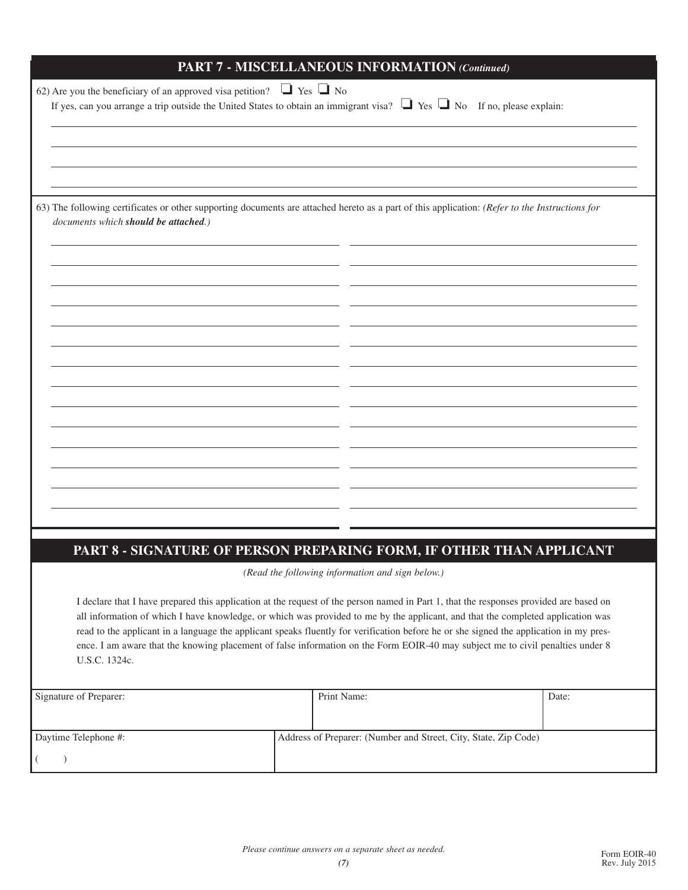| PART 7 - MISCELLANEOUS INFORMATION (Continued)                                                                                                                                                                      |  |                                                                                                                                                                                                                                                                                                                                                                                                                                                                                                                                                       |       |  |
|---------------------------------------------------------------------------------------------------------------------------------------------------------------------------------------------------------------------|--|-------------------------------------------------------------------------------------------------------------------------------------------------------------------------------------------------------------------------------------------------------------------------------------------------------------------------------------------------------------------------------------------------------------------------------------------------------------------------------------------------------------------------------------------------------|-------|--|
| 62) Are you the beneficiary of an approved visa petition? $\Box$ Yes $\Box$ No<br>If yes, can you arrange a trip outside the United States to obtain an immigrant visa? $\Box$ Yes $\Box$ No If no, please explain: |  |                                                                                                                                                                                                                                                                                                                                                                                                                                                                                                                                                       |       |  |
|                                                                                                                                                                                                                     |  |                                                                                                                                                                                                                                                                                                                                                                                                                                                                                                                                                       |       |  |
|                                                                                                                                                                                                                     |  |                                                                                                                                                                                                                                                                                                                                                                                                                                                                                                                                                       |       |  |
| 63) The following certificates or other supporting documents are attached hereto as a part of this application: (Refer to the Instructions for<br>documents which should be attached.)                              |  |                                                                                                                                                                                                                                                                                                                                                                                                                                                                                                                                                       |       |  |
|                                                                                                                                                                                                                     |  |                                                                                                                                                                                                                                                                                                                                                                                                                                                                                                                                                       |       |  |
|                                                                                                                                                                                                                     |  |                                                                                                                                                                                                                                                                                                                                                                                                                                                                                                                                                       |       |  |
|                                                                                                                                                                                                                     |  |                                                                                                                                                                                                                                                                                                                                                                                                                                                                                                                                                       |       |  |
|                                                                                                                                                                                                                     |  |                                                                                                                                                                                                                                                                                                                                                                                                                                                                                                                                                       |       |  |
|                                                                                                                                                                                                                     |  |                                                                                                                                                                                                                                                                                                                                                                                                                                                                                                                                                       |       |  |
|                                                                                                                                                                                                                     |  |                                                                                                                                                                                                                                                                                                                                                                                                                                                                                                                                                       |       |  |
|                                                                                                                                                                                                                     |  |                                                                                                                                                                                                                                                                                                                                                                                                                                                                                                                                                       |       |  |
|                                                                                                                                                                                                                     |  |                                                                                                                                                                                                                                                                                                                                                                                                                                                                                                                                                       |       |  |
|                                                                                                                                                                                                                     |  | PART 8 - SIGNATURE OF PERSON PREPARING FORM, IF OTHER THAN APPLICANT                                                                                                                                                                                                                                                                                                                                                                                                                                                                                  |       |  |
|                                                                                                                                                                                                                     |  | (Read the following information and sign below.)                                                                                                                                                                                                                                                                                                                                                                                                                                                                                                      |       |  |
| U.S.C. 1324c.                                                                                                                                                                                                       |  | I declare that I have prepared this application at the request of the person named in Part 1, that the responses provided are based on<br>all information of which I have knowledge, or which was provided to me by the applicant, and that the completed application was<br>read to the applicant in a language the applicant speaks fluently for verification before he or she signed the application in my pres-<br>ence. I am aware that the knowing placement of false information on the Form EOIR-40 may subject me to civil penalties under 8 |       |  |
| Signature of Preparer:                                                                                                                                                                                              |  | Print Name:                                                                                                                                                                                                                                                                                                                                                                                                                                                                                                                                           | Date: |  |
|                                                                                                                                                                                                                     |  |                                                                                                                                                                                                                                                                                                                                                                                                                                                                                                                                                       |       |  |
| Daytime Telephone #:                                                                                                                                                                                                |  | Address of Preparer: (Number and Street, City, State, Zip Code)                                                                                                                                                                                                                                                                                                                                                                                                                                                                                       |       |  |
| $\lambda$                                                                                                                                                                                                           |  |                                                                                                                                                                                                                                                                                                                                                                                                                                                                                                                                                       |       |  |